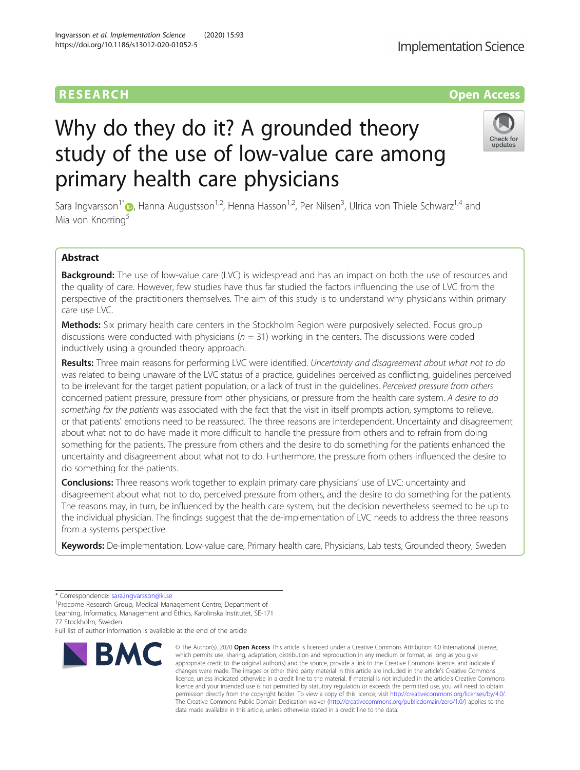# Why do they do it? A grounded theory study of the use of low-value care among primary health care physicians

Sara Ingvarsson<sup>1[\\*](http://orcid.org/0000-0001-6605-8924)</sup> (@, Hanna Augustsson<sup>1,2</sup>, Henna Hasson<sup>1,2</sup>, Per Nilsen<sup>3</sup>, Ulrica von Thiele Schwarz<sup>1,4</sup> and Mia von Knorring<sup>5</sup>

# Abstract

**Background:** The use of low-value care (LVC) is widespread and has an impact on both the use of resources and the quality of care. However, few studies have thus far studied the factors influencing the use of LVC from the perspective of the practitioners themselves. The aim of this study is to understand why physicians within primary care use LVC.

**Methods:** Six primary health care centers in the Stockholm Region were purposively selected. Focus group discussions were conducted with physicians ( $n = 31$ ) working in the centers. The discussions were coded inductively using a grounded theory approach.

Results: Three main reasons for performing LVC were identified. Uncertainty and disagreement about what not to do was related to being unaware of the LVC status of a practice, guidelines perceived as conflicting, guidelines perceived to be irrelevant for the target patient population, or a lack of trust in the guidelines. Perceived pressure from others concerned patient pressure, pressure from other physicians, or pressure from the health care system. A desire to do something for the patients was associated with the fact that the visit in itself prompts action, symptoms to relieve, or that patients' emotions need to be reassured. The three reasons are interdependent. Uncertainty and disagreement about what not to do have made it more difficult to handle the pressure from others and to refrain from doing something for the patients. The pressure from others and the desire to do something for the patients enhanced the uncertainty and disagreement about what not to do. Furthermore, the pressure from others influenced the desire to do something for the patients.

Conclusions: Three reasons work together to explain primary care physicians' use of LVC: uncertainty and disagreement about what not to do, perceived pressure from others, and the desire to do something for the patients. The reasons may, in turn, be influenced by the health care system, but the decision nevertheless seemed to be up to the individual physician. The findings suggest that the de-implementation of LVC needs to address the three reasons from a systems perspective.

Keywords: De-implementation, Low-value care, Primary health care, Physicians, Lab tests, Grounded theory, Sweden







<sup>\*</sup> Correspondence: [sara.ingvarsson@ki.se](mailto:sara.ingvarsson@ki.se) <sup>1</sup>

<sup>&</sup>lt;sup>1</sup> Procome Research Group, Medical Management Centre, Department of Learning, Informatics, Management and Ethics, Karolinska Institutet, SE-171 77 Stockholm, Sweden

Full list of author information is available at the end of the article

<sup>©</sup> The Author(s), 2020 **Open Access** This article is licensed under a Creative Commons Attribution 4.0 International License, which permits use, sharing, adaptation, distribution and reproduction in any medium or format, as long as you give appropriate credit to the original author(s) and the source, provide a link to the Creative Commons licence, and indicate if changes were made. The images or other third party material in this article are included in the article's Creative Commons licence, unless indicated otherwise in a credit line to the material. If material is not included in the article's Creative Commons licence and your intended use is not permitted by statutory regulation or exceeds the permitted use, you will need to obtain permission directly from the copyright holder. To view a copy of this licence, visit [http://creativecommons.org/licenses/by/4.0/.](http://creativecommons.org/licenses/by/4.0/) The Creative Commons Public Domain Dedication waiver [\(http://creativecommons.org/publicdomain/zero/1.0/](http://creativecommons.org/publicdomain/zero/1.0/)) applies to the data made available in this article, unless otherwise stated in a credit line to the data.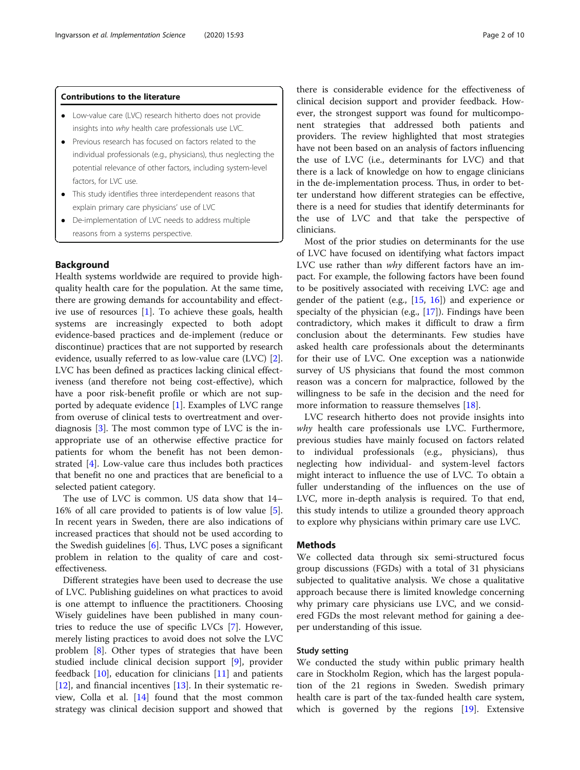#### Contributions to the literature

- Low-value care (LVC) research hitherto does not provide insights into why health care professionals use LVC.
- Previous research has focused on factors related to the individual professionals (e.g., physicians), thus neglecting the potential relevance of other factors, including system-level factors, for LVC use.
- This study identifies three interdependent reasons that explain primary care physicians' use of LVC
- De-implementation of LVC needs to address multiple reasons from a systems perspective.

# Background

Health systems worldwide are required to provide highquality health care for the population. At the same time, there are growing demands for accountability and effective use of resources [\[1](#page-8-0)]. To achieve these goals, health systems are increasingly expected to both adopt evidence-based practices and de-implement (reduce or discontinue) practices that are not supported by research evidence, usually referred to as low-value care  $(LVC)$  [\[2](#page-8-0)]. LVC has been defined as practices lacking clinical effectiveness (and therefore not being cost-effective), which have a poor risk-benefit profile or which are not supported by adequate evidence [[1\]](#page-8-0). Examples of LVC range from overuse of clinical tests to overtreatment and overdiagnosis [[3\]](#page-8-0). The most common type of LVC is the inappropriate use of an otherwise effective practice for patients for whom the benefit has not been demonstrated [[4\]](#page-8-0). Low-value care thus includes both practices that benefit no one and practices that are beneficial to a selected patient category.

The use of LVC is common. US data show that 14– 16% of all care provided to patients is of low value [\[5](#page-8-0)]. In recent years in Sweden, there are also indications of increased practices that should not be used according to the Swedish guidelines  $[6]$  $[6]$ . Thus, LVC poses a significant problem in relation to the quality of care and costeffectiveness.

Different strategies have been used to decrease the use of LVC. Publishing guidelines on what practices to avoid is one attempt to influence the practitioners. Choosing Wisely guidelines have been published in many countries to reduce the use of specific LVCs [\[7\]](#page-8-0). However, merely listing practices to avoid does not solve the LVC problem [\[8](#page-8-0)]. Other types of strategies that have been studied include clinical decision support [\[9](#page-8-0)], provider feedback  $[10]$  $[10]$ , education for clinicians  $[11]$  $[11]$  and patients [[12\]](#page-8-0), and financial incentives [\[13\]](#page-8-0). In their systematic review, Colla et al. [\[14](#page-8-0)] found that the most common strategy was clinical decision support and showed that

there is considerable evidence for the effectiveness of clinical decision support and provider feedback. However, the strongest support was found for multicomponent strategies that addressed both patients and providers. The review highlighted that most strategies have not been based on an analysis of factors influencing the use of LVC (i.e., determinants for LVC) and that there is a lack of knowledge on how to engage clinicians in the de-implementation process. Thus, in order to better understand how different strategies can be effective, there is a need for studies that identify determinants for the use of LVC and that take the perspective of clinicians.

Most of the prior studies on determinants for the use of LVC have focused on identifying what factors impact LVC use rather than why different factors have an impact. For example, the following factors have been found to be positively associated with receiving LVC: age and gender of the patient (e.g., [\[15](#page-8-0), [16\]](#page-8-0)) and experience or specialty of the physician (e.g.,  $[17]$  $[17]$ ). Findings have been contradictory, which makes it difficult to draw a firm conclusion about the determinants. Few studies have asked health care professionals about the determinants for their use of LVC. One exception was a nationwide survey of US physicians that found the most common reason was a concern for malpractice, followed by the willingness to be safe in the decision and the need for more information to reassure themselves [[18](#page-8-0)].

LVC research hitherto does not provide insights into  $why$  health care professionals use LVC. Furthermore, previous studies have mainly focused on factors related to individual professionals (e.g., physicians), thus neglecting how individual- and system-level factors might interact to influence the use of LVC. To obtain a fuller understanding of the influences on the use of LVC, more in-depth analysis is required. To that end, this study intends to utilize a grounded theory approach to explore why physicians within primary care use LVC.

#### Methods

We collected data through six semi-structured focus group discussions (FGDs) with a total of 31 physicians subjected to qualitative analysis. We chose a qualitative approach because there is limited knowledge concerning why primary care physicians use LVC, and we considered FGDs the most relevant method for gaining a deeper understanding of this issue.

#### Study setting

We conducted the study within public primary health care in Stockholm Region, which has the largest population of the 21 regions in Sweden. Swedish primary health care is part of the tax-funded health care system, which is governed by the regions [[19\]](#page-8-0). Extensive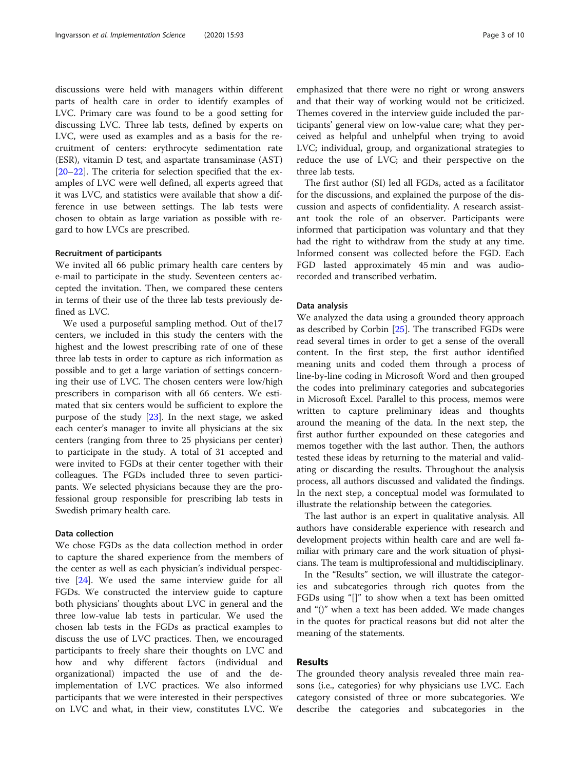discussions were held with managers within different parts of health care in order to identify examples of LVC. Primary care was found to be a good setting for discussing LVC. Three lab tests, defined by experts on LVC, were used as examples and as a basis for the recruitment of centers: erythrocyte sedimentation rate (ESR), vitamin D test, and aspartate transaminase (AST) [[20](#page-8-0)–[22](#page-9-0)]. The criteria for selection specified that the examples of LVC were well defined, all experts agreed that it was LVC, and statistics were available that show a difference in use between settings. The lab tests were chosen to obtain as large variation as possible with regard to how LVCs are prescribed.

#### Recruitment of participants

We invited all 66 public primary health care centers by e-mail to participate in the study. Seventeen centers accepted the invitation. Then, we compared these centers in terms of their use of the three lab tests previously defined as LVC.

We used a purposeful sampling method. Out of the17 centers, we included in this study the centers with the highest and the lowest prescribing rate of one of these three lab tests in order to capture as rich information as possible and to get a large variation of settings concerning their use of LVC. The chosen centers were low/high prescribers in comparison with all 66 centers. We estimated that six centers would be sufficient to explore the purpose of the study [[23\]](#page-9-0). In the next stage, we asked each center's manager to invite all physicians at the six centers (ranging from three to 25 physicians per center) to participate in the study. A total of 31 accepted and were invited to FGDs at their center together with their colleagues. The FGDs included three to seven participants. We selected physicians because they are the professional group responsible for prescribing lab tests in Swedish primary health care.

#### Data collection

We chose FGDs as the data collection method in order to capture the shared experience from the members of the center as well as each physician's individual perspective [\[24](#page-9-0)]. We used the same interview guide for all FGDs. We constructed the interview guide to capture both physicians' thoughts about LVC in general and the three low-value lab tests in particular. We used the chosen lab tests in the FGDs as practical examples to discuss the use of LVC practices. Then, we encouraged participants to freely share their thoughts on LVC and how and why different factors (individual and organizational) impacted the use of and the deimplementation of LVC practices. We also informed participants that we were interested in their perspectives on LVC and what, in their view, constitutes LVC. We

emphasized that there were no right or wrong answers and that their way of working would not be criticized. Themes covered in the interview guide included the participants' general view on low-value care; what they perceived as helpful and unhelpful when trying to avoid LVC; individual, group, and organizational strategies to reduce the use of LVC; and their perspective on the three lab tests.

The first author (SI) led all FGDs, acted as a facilitator for the discussions, and explained the purpose of the discussion and aspects of confidentiality. A research assistant took the role of an observer. Participants were informed that participation was voluntary and that they had the right to withdraw from the study at any time. Informed consent was collected before the FGD. Each FGD lasted approximately 45 min and was audiorecorded and transcribed verbatim.

#### Data analysis

We analyzed the data using a grounded theory approach as described by Corbin [[25\]](#page-9-0). The transcribed FGDs were read several times in order to get a sense of the overall content. In the first step, the first author identified meaning units and coded them through a process of line-by-line coding in Microsoft Word and then grouped the codes into preliminary categories and subcategories in Microsoft Excel. Parallel to this process, memos were written to capture preliminary ideas and thoughts around the meaning of the data. In the next step, the first author further expounded on these categories and memos together with the last author. Then, the authors tested these ideas by returning to the material and validating or discarding the results. Throughout the analysis process, all authors discussed and validated the findings. In the next step, a conceptual model was formulated to illustrate the relationship between the categories.

The last author is an expert in qualitative analysis. All authors have considerable experience with research and development projects within health care and are well familiar with primary care and the work situation of physicians. The team is multiprofessional and multidisciplinary.

In the "Results" section, we will illustrate the categories and subcategories through rich quotes from the FGDs using "[]" to show when a text has been omitted and "()" when a text has been added. We made changes in the quotes for practical reasons but did not alter the meaning of the statements.

# Results

The grounded theory analysis revealed three main reasons (i.e., categories) for why physicians use LVC. Each category consisted of three or more subcategories. We describe the categories and subcategories in the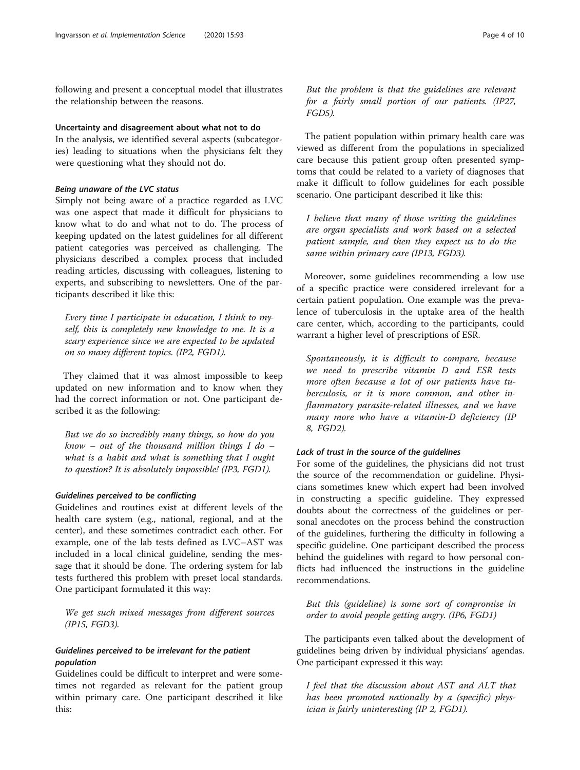following and present a conceptual model that illustrates the relationship between the reasons.

#### Uncertainty and disagreement about what not to do

In the analysis, we identified several aspects (subcategories) leading to situations when the physicians felt they were questioning what they should not do.

#### Being unaware of the LVC status

Simply not being aware of a practice regarded as LVC was one aspect that made it difficult for physicians to know what to do and what not to do. The process of keeping updated on the latest guidelines for all different patient categories was perceived as challenging. The physicians described a complex process that included reading articles, discussing with colleagues, listening to experts, and subscribing to newsletters. One of the participants described it like this:

Every time I participate in education, I think to myself, this is completely new knowledge to me. It is a scary experience since we are expected to be updated on so many different topics. (IP2, FGD1).

They claimed that it was almost impossible to keep updated on new information and to know when they had the correct information or not. One participant described it as the following:

But we do so incredibly many things, so how do you know – out of the thousand million things I do – what is a habit and what is something that I ought to question? It is absolutely impossible! (IP3, FGD1).

#### Guidelines perceived to be conflicting

Guidelines and routines exist at different levels of the health care system (e.g., national, regional, and at the center), and these sometimes contradict each other. For example, one of the lab tests defined as LVC–AST was included in a local clinical guideline, sending the message that it should be done. The ordering system for lab tests furthered this problem with preset local standards. One participant formulated it this way:

We get such mixed messages from different sources (IP15, FGD3).

# Guidelines perceived to be irrelevant for the patient population

Guidelines could be difficult to interpret and were sometimes not regarded as relevant for the patient group within primary care. One participant described it like this:

But the problem is that the guidelines are relevant for a fairly small portion of our patients. (IP27, FGD5).

The patient population within primary health care was viewed as different from the populations in specialized care because this patient group often presented symptoms that could be related to a variety of diagnoses that make it difficult to follow guidelines for each possible scenario. One participant described it like this:

I believe that many of those writing the guidelines are organ specialists and work based on a selected patient sample, and then they expect us to do the same within primary care (IP13, FGD3).

Moreover, some guidelines recommending a low use of a specific practice were considered irrelevant for a certain patient population. One example was the prevalence of tuberculosis in the uptake area of the health care center, which, according to the participants, could warrant a higher level of prescriptions of ESR.

Spontaneously, it is difficult to compare, because we need to prescribe vitamin D and ESR tests more often because a lot of our patients have tuberculosis, or it is more common, and other inflammatory parasite-related illnesses, and we have many more who have a vitamin-D deficiency (IP 8, FGD2).

# Lack of trust in the source of the guidelines

For some of the guidelines, the physicians did not trust the source of the recommendation or guideline. Physicians sometimes knew which expert had been involved in constructing a specific guideline. They expressed doubts about the correctness of the guidelines or personal anecdotes on the process behind the construction of the guidelines, furthering the difficulty in following a specific guideline. One participant described the process behind the guidelines with regard to how personal conflicts had influenced the instructions in the guideline recommendations.

But this (guideline) is some sort of compromise in order to avoid people getting angry. (IP6, FGD1)

The participants even talked about the development of guidelines being driven by individual physicians' agendas. One participant expressed it this way:

I feel that the discussion about AST and ALT that has been promoted nationally by a (specific) physician is fairly uninteresting (IP 2, FGD1).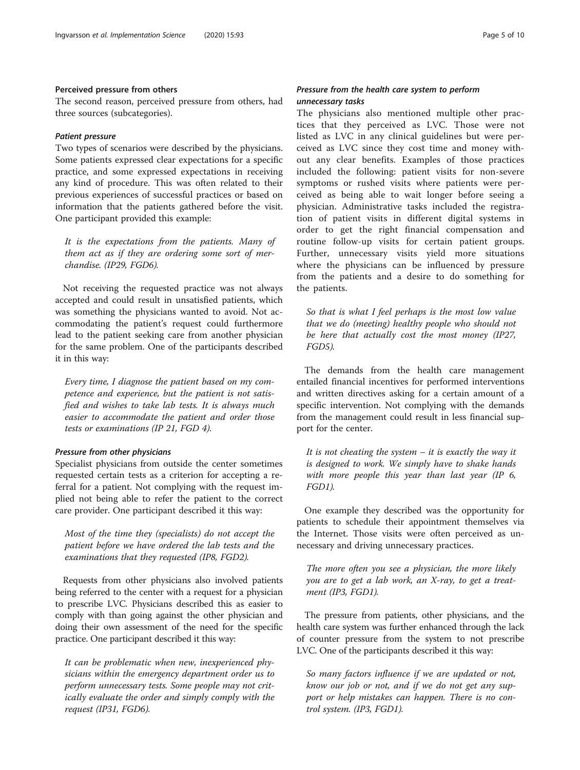# Perceived pressure from others

The second reason, perceived pressure from others, had three sources (subcategories).

# Patient pressure

Two types of scenarios were described by the physicians. Some patients expressed clear expectations for a specific practice, and some expressed expectations in receiving any kind of procedure. This was often related to their previous experiences of successful practices or based on information that the patients gathered before the visit. One participant provided this example:

It is the expectations from the patients. Many of them act as if they are ordering some sort of merchandise. (IP29, FGD6).

Not receiving the requested practice was not always accepted and could result in unsatisfied patients, which was something the physicians wanted to avoid. Not accommodating the patient's request could furthermore lead to the patient seeking care from another physician for the same problem. One of the participants described it in this way:

Every time, I diagnose the patient based on my competence and experience, but the patient is not satisfied and wishes to take lab tests. It is always much easier to accommodate the patient and order those tests or examinations (IP 21, FGD 4).

# Pressure from other physicians

Specialist physicians from outside the center sometimes requested certain tests as a criterion for accepting a referral for a patient. Not complying with the request implied not being able to refer the patient to the correct care provider. One participant described it this way:

Most of the time they (specialists) do not accept the patient before we have ordered the lab tests and the examinations that they requested (IP8, FGD2).

Requests from other physicians also involved patients being referred to the center with a request for a physician to prescribe LVC. Physicians described this as easier to comply with than going against the other physician and doing their own assessment of the need for the specific practice. One participant described it this way:

It can be problematic when new, inexperienced physicians within the emergency department order us to perform unnecessary tests. Some people may not critically evaluate the order and simply comply with the request (IP31, FGD6).

# Pressure from the health care system to perform unnecessary tasks

The physicians also mentioned multiple other practices that they perceived as LVC. Those were not listed as LVC in any clinical guidelines but were perceived as LVC since they cost time and money without any clear benefits. Examples of those practices included the following: patient visits for non-severe symptoms or rushed visits where patients were perceived as being able to wait longer before seeing a physician. Administrative tasks included the registration of patient visits in different digital systems in order to get the right financial compensation and routine follow-up visits for certain patient groups. Further, unnecessary visits yield more situations where the physicians can be influenced by pressure from the patients and a desire to do something for the patients.

So that is what I feel perhaps is the most low value that we do (meeting) healthy people who should not be here that actually cost the most money (IP27, FGD5).

The demands from the health care management entailed financial incentives for performed interventions and written directives asking for a certain amount of a specific intervention. Not complying with the demands from the management could result in less financial support for the center.

It is not cheating the system  $-$  it is exactly the way it is designed to work. We simply have to shake hands with more people this year than last year (IP 6, FGD1).

One example they described was the opportunity for patients to schedule their appointment themselves via the Internet. Those visits were often perceived as unnecessary and driving unnecessary practices.

The more often you see a physician, the more likely you are to get a lab work, an X-ray, to get a treatment (IP3, FGD1).

The pressure from patients, other physicians, and the health care system was further enhanced through the lack of counter pressure from the system to not prescribe LVC. One of the participants described it this way:

So many factors influence if we are updated or not, know our job or not, and if we do not get any support or help mistakes can happen. There is no control system. (IP3, FGD1).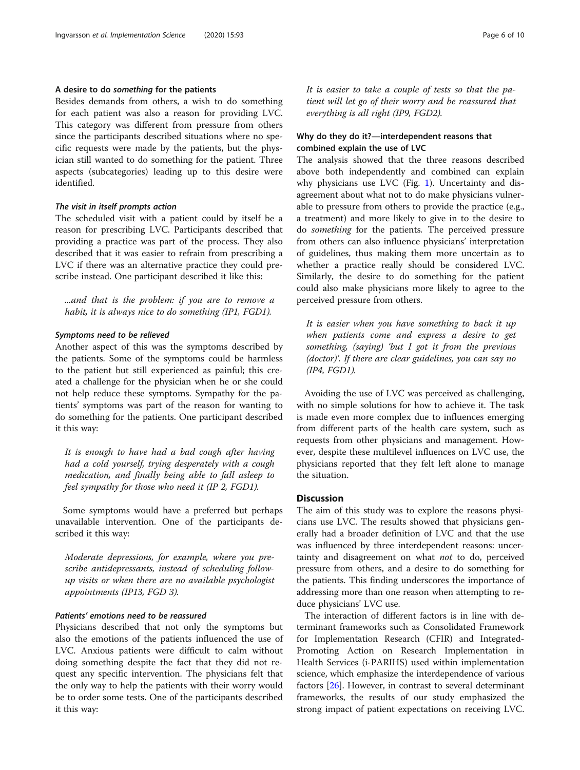# A desire to do something for the patients

Besides demands from others, a wish to do something for each patient was also a reason for providing LVC. This category was different from pressure from others since the participants described situations where no specific requests were made by the patients, but the physician still wanted to do something for the patient. Three aspects (subcategories) leading up to this desire were identified.

#### The visit in itself prompts action

The scheduled visit with a patient could by itself be a reason for prescribing LVC. Participants described that providing a practice was part of the process. They also described that it was easier to refrain from prescribing a LVC if there was an alternative practice they could prescribe instead. One participant described it like this:

...and that is the problem: if you are to remove a habit, it is always nice to do something (IP1, FGD1).

#### Symptoms need to be relieved

Another aspect of this was the symptoms described by the patients. Some of the symptoms could be harmless to the patient but still experienced as painful; this created a challenge for the physician when he or she could not help reduce these symptoms. Sympathy for the patients' symptoms was part of the reason for wanting to do something for the patients. One participant described it this way:

It is enough to have had a bad cough after having had a cold yourself, trying desperately with a cough medication, and finally being able to fall asleep to feel sympathy for those who need it (IP 2, FGD1).

Some symptoms would have a preferred but perhaps unavailable intervention. One of the participants described it this way:

Moderate depressions, for example, where you prescribe antidepressants, instead of scheduling followup visits or when there are no available psychologist appointments (IP13, FGD 3).

# Patients' emotions need to be reassured

Physicians described that not only the symptoms but also the emotions of the patients influenced the use of LVC. Anxious patients were difficult to calm without doing something despite the fact that they did not request any specific intervention. The physicians felt that the only way to help the patients with their worry would be to order some tests. One of the participants described it this way:

It is easier to take a couple of tests so that the patient will let go of their worry and be reassured that everything is all right (IP9, FGD2).

# Why do they do it?—interdependent reasons that combined explain the use of LVC

The analysis showed that the three reasons described above both independently and combined can explain why physicians use LVC (Fig. [1](#page-6-0)). Uncertainty and disagreement about what not to do make physicians vulnerable to pressure from others to provide the practice (e.g., a treatment) and more likely to give in to the desire to do something for the patients. The perceived pressure from others can also influence physicians' interpretation of guidelines, thus making them more uncertain as to whether a practice really should be considered LVC. Similarly, the desire to do something for the patient could also make physicians more likely to agree to the perceived pressure from others.

It is easier when you have something to back it up when patients come and express a desire to get something, (saying) 'but I got it from the previous (doctor)'. If there are clear guidelines, you can say no (IP4, FGD1).

Avoiding the use of LVC was perceived as challenging, with no simple solutions for how to achieve it. The task is made even more complex due to influences emerging from different parts of the health care system, such as requests from other physicians and management. However, despite these multilevel influences on LVC use, the physicians reported that they felt left alone to manage the situation.

# **Discussion**

The aim of this study was to explore the reasons physicians use LVC. The results showed that physicians generally had a broader definition of LVC and that the use was influenced by three interdependent reasons: uncertainty and disagreement on what not to do, perceived pressure from others, and a desire to do something for the patients. This finding underscores the importance of addressing more than one reason when attempting to reduce physicians' LVC use.

The interaction of different factors is in line with determinant frameworks such as Consolidated Framework for Implementation Research (CFIR) and Integrated-Promoting Action on Research Implementation in Health Services (i-PARIHS) used within implementation science, which emphasize the interdependence of various factors [[26](#page-9-0)]. However, in contrast to several determinant frameworks, the results of our study emphasized the strong impact of patient expectations on receiving LVC.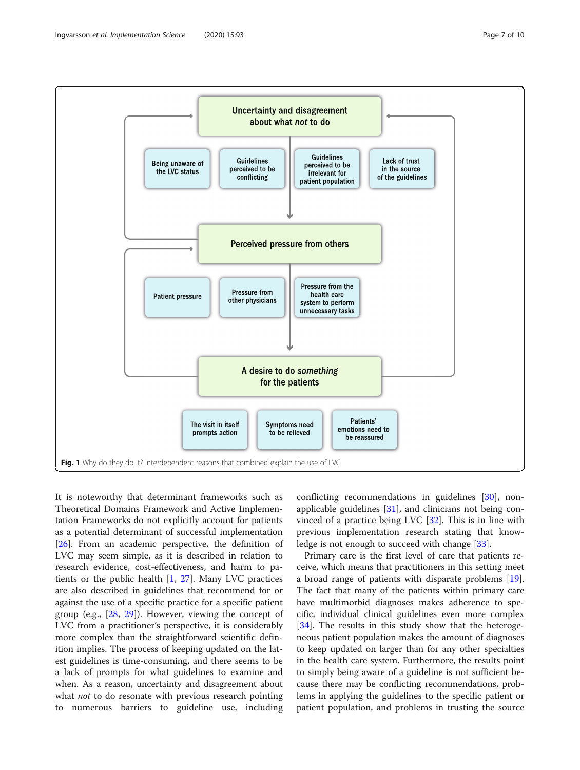<span id="page-6-0"></span>

It is noteworthy that determinant frameworks such as Theoretical Domains Framework and Active Implementation Frameworks do not explicitly account for patients as a potential determinant of successful implementation [[26\]](#page-9-0). From an academic perspective, the definition of LVC may seem simple, as it is described in relation to research evidence, cost-effectiveness, and harm to patients or the public health [\[1](#page-8-0), [27](#page-9-0)]. Many LVC practices are also described in guidelines that recommend for or against the use of a specific practice for a specific patient group (e.g., [\[28](#page-9-0), [29\]](#page-9-0)). However, viewing the concept of LVC from a practitioner's perspective, it is considerably more complex than the straightforward scientific definition implies. The process of keeping updated on the latest guidelines is time-consuming, and there seems to be a lack of prompts for what guidelines to examine and when. As a reason, uncertainty and disagreement about what *not* to do resonate with previous research pointing to numerous barriers to guideline use, including

conflicting recommendations in guidelines [[30\]](#page-9-0), nonapplicable guidelines [\[31\]](#page-9-0), and clinicians not being convinced of a practice being LVC [[32\]](#page-9-0). This is in line with previous implementation research stating that knowledge is not enough to succeed with change [[33\]](#page-9-0).

Primary care is the first level of care that patients receive, which means that practitioners in this setting meet a broad range of patients with disparate problems [\[19](#page-8-0)]. The fact that many of the patients within primary care have multimorbid diagnoses makes adherence to specific, individual clinical guidelines even more complex [[34\]](#page-9-0). The results in this study show that the heterogeneous patient population makes the amount of diagnoses to keep updated on larger than for any other specialties in the health care system. Furthermore, the results point to simply being aware of a guideline is not sufficient because there may be conflicting recommendations, problems in applying the guidelines to the specific patient or patient population, and problems in trusting the source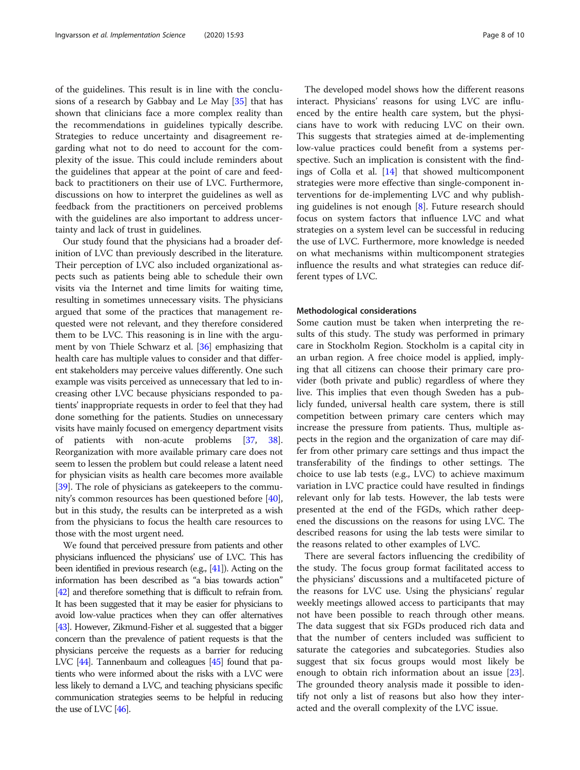of the guidelines. This result is in line with the conclusions of a research by Gabbay and Le May [\[35\]](#page-9-0) that has shown that clinicians face a more complex reality than the recommendations in guidelines typically describe. Strategies to reduce uncertainty and disagreement regarding what not to do need to account for the complexity of the issue. This could include reminders about the guidelines that appear at the point of care and feedback to practitioners on their use of LVC. Furthermore, discussions on how to interpret the guidelines as well as feedback from the practitioners on perceived problems with the guidelines are also important to address uncertainty and lack of trust in guidelines.

Our study found that the physicians had a broader definition of LVC than previously described in the literature. Their perception of LVC also included organizational aspects such as patients being able to schedule their own visits via the Internet and time limits for waiting time, resulting in sometimes unnecessary visits. The physicians argued that some of the practices that management requested were not relevant, and they therefore considered them to be LVC. This reasoning is in line with the argument by von Thiele Schwarz et al. [[36\]](#page-9-0) emphasizing that health care has multiple values to consider and that different stakeholders may perceive values differently. One such example was visits perceived as unnecessary that led to increasing other LVC because physicians responded to patients' inappropriate requests in order to feel that they had done something for the patients. Studies on unnecessary visits have mainly focused on emergency department visits of patients with non-acute problems [\[37,](#page-9-0) [38](#page-9-0)]. Reorganization with more available primary care does not seem to lessen the problem but could release a latent need for physician visits as health care becomes more available [[39](#page-9-0)]. The role of physicians as gatekeepers to the community's common resources has been questioned before [[40](#page-9-0)], but in this study, the results can be interpreted as a wish from the physicians to focus the health care resources to those with the most urgent need.

We found that perceived pressure from patients and other physicians influenced the physicians' use of LVC. This has been identified in previous research (e.g., [\[41](#page-9-0)]). Acting on the information has been described as "a bias towards action" [[42\]](#page-9-0) and therefore something that is difficult to refrain from. It has been suggested that it may be easier for physicians to avoid low-value practices when they can offer alternatives [[43\]](#page-9-0). However, Zikmund-Fisher et al. suggested that a bigger concern than the prevalence of patient requests is that the physicians perceive the requests as a barrier for reducing LVC [\[44\]](#page-9-0). Tannenbaum and colleagues [\[45\]](#page-9-0) found that patients who were informed about the risks with a LVC were less likely to demand a LVC, and teaching physicians specific communication strategies seems to be helpful in reducing the use of LVC  $[46]$  $[46]$ .

The developed model shows how the different reasons interact. Physicians' reasons for using LVC are influenced by the entire health care system, but the physicians have to work with reducing LVC on their own. This suggests that strategies aimed at de-implementing low-value practices could benefit from a systems perspective. Such an implication is consistent with the findings of Colla et al. [\[14](#page-8-0)] that showed multicomponent strategies were more effective than single-component interventions for de-implementing LVC and why publishing guidelines is not enough [\[8](#page-8-0)]. Future research should focus on system factors that influence LVC and what strategies on a system level can be successful in reducing the use of LVC. Furthermore, more knowledge is needed on what mechanisms within multicomponent strategies influence the results and what strategies can reduce different types of LVC.

#### Methodological considerations

Some caution must be taken when interpreting the results of this study. The study was performed in primary care in Stockholm Region. Stockholm is a capital city in an urban region. A free choice model is applied, implying that all citizens can choose their primary care provider (both private and public) regardless of where they live. This implies that even though Sweden has a publicly funded, universal health care system, there is still competition between primary care centers which may increase the pressure from patients. Thus, multiple aspects in the region and the organization of care may differ from other primary care settings and thus impact the transferability of the findings to other settings. The choice to use lab tests (e.g., LVC) to achieve maximum variation in LVC practice could have resulted in findings relevant only for lab tests. However, the lab tests were presented at the end of the FGDs, which rather deepened the discussions on the reasons for using LVC. The described reasons for using the lab tests were similar to the reasons related to other examples of LVC.

There are several factors influencing the credibility of the study. The focus group format facilitated access to the physicians' discussions and a multifaceted picture of the reasons for LVC use. Using the physicians' regular weekly meetings allowed access to participants that may not have been possible to reach through other means. The data suggest that six FGDs produced rich data and that the number of centers included was sufficient to saturate the categories and subcategories. Studies also suggest that six focus groups would most likely be enough to obtain rich information about an issue [\[23](#page-9-0)]. The grounded theory analysis made it possible to identify not only a list of reasons but also how they interacted and the overall complexity of the LVC issue.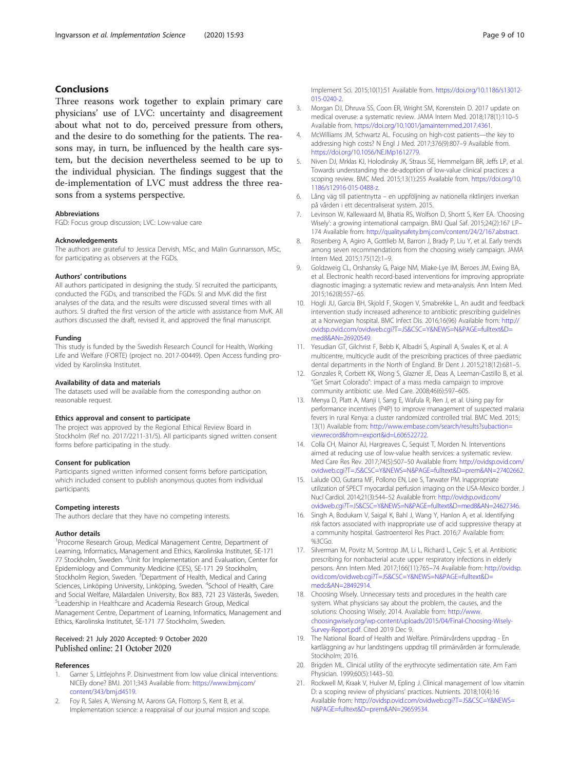# <span id="page-8-0"></span>Conclusions

Three reasons work together to explain primary care physicians' use of LVC: uncertainty and disagreement about what not to do, perceived pressure from others, and the desire to do something for the patients. The reasons may, in turn, be influenced by the health care system, but the decision nevertheless seemed to be up to the individual physician. The findings suggest that the de-implementation of LVC must address the three reasons from a systems perspective.

#### Abbreviations

FGD: Focus group discussion; LVC: Low-value care

#### Acknowledgements

The authors are grateful to Jessica Dervish, MSc, and Malin Gunnarsson, MSc, for participating as observers at the FGDs.

#### Authors' contributions

All authors participated in designing the study. SI recruited the participants, conducted the FGDs, and transcribed the FGDs. SI and MvK did the first analyses of the data, and the results were discussed several times with all authors. SI drafted the first version of the article with assistance from MvK. All authors discussed the draft, revised it, and approved the final manuscript.

#### Funding

This study is funded by the Swedish Research Council for Health, Working Life and Welfare (FORTE) (project no. 2017-00449). Open Access funding provided by Karolinska Institutet.

#### Availability of data and materials

The datasets used will be available from the corresponding author on reasonable request.

#### Ethics approval and consent to participate

The project was approved by the Regional Ethical Review Board in Stockholm (Ref no. 2017/2211-31/5). All participants signed written consent forms before participating in the study.

#### Consent for publication

Participants signed written informed consent forms before participation, which included consent to publish anonymous quotes from individual participants.

#### Competing interests

The authors declare that they have no competing interests.

#### Author details

<sup>1</sup> Procome Research Group, Medical Management Centre, Department of Learning, Informatics, Management and Ethics, Karolinska Institutet, SE-171 77 Stockholm, Sweden. <sup>2</sup>Unit for Implementation and Evaluation, Center for Epidemiology and Community Medicine (CES), SE-171 29 Stockholm, Stockholm Region, Sweden. <sup>3</sup>Department of Health, Medical and Caring Sciences, Linköping University, Linköping, Sweden. <sup>4</sup>School of Health, Care and Social Welfare, Mälardalen University, Box 883, 721 23 Västerås, Sweden. 5 Leadership in Healthcare and Academia Research Group, Medical Management Centre, Department of Learning, Informatics, Management and Ethics, Karolinska Institutet, SE-171 77 Stockholm, Sweden.

#### Received: 21 July 2020 Accepted: 9 October 2020 Published online: 21 October 2020

#### References

- Garner S, Littlejohns P. Disinvestment from low value clinical interventions: NICEly done? BMJ. 2011;343 Available from: [https://www.bmj.com/](https://www.bmj.com/content/343/bmj.d4519) [content/343/bmj.d4519.](https://www.bmj.com/content/343/bmj.d4519)
- 2. Foy R, Sales A, Wensing M, Aarons GA, Flottorp S, Kent B, et al. Implementation science: a reappraisal of our journal mission and scope.
- 3. Morgan DJ, Dhruva SS, Coon ER, Wright SM, Korenstein D. 2017 update on medical overuse: a systematic review. JAMA Intern Med. 2018;178(1):110–5 Available from. <https://doi.org/10.1001/jamainternmed.2017.4361>.
- 4. McWilliams JM, Schwartz AL. Focusing on high-cost patients—the key to addressing high costs? N Engl J Med. 2017;376(9):807–9 Available from. <https://doi.org/10.1056/NEJMp1612779>.
- 5. Niven DJ, Mrklas KJ, Holodinsky JK, Straus SE, Hemmelgarn BR, Jeffs LP, et al. Towards understanding the de-adoption of low-value clinical practices: a scoping review. BMC Med. 2015;13(1):255 Available from. [https://doi.org/10.](https://doi.org/10.1186/s12916-015-0488-z) [1186/s12916-015-0488-z](https://doi.org/10.1186/s12916-015-0488-z).
- 6. Lång väg till patientnytta en uppföljning av nationella riktlinjers inverkan på vården i ett decentraliserat system. 2015.
- 7. Levinson W, Kallewaard M, Bhatia RS, Wolfson D, Shortt S, Kerr EA. 'Choosing Wisely': a growing international campaign. BMJ Qual Saf. 2015;24(2):167 LP– 174 Available from: <http://qualitysafety.bmj.com/content/24/2/167.abstract>.
- 8. Rosenberg A, Agiro A, Gottlieb M, Barron J, Brady P, Liu Y, et al. Early trends among seven recommendations from the choosing wisely campaign. JAMA Intern Med. 2015;175(12):1–9.
- 9. Goldzweig CL, Orshansky G, Paige NM, Miake-Lye IM, Beroes JM, Ewing BA, et al. Electronic health record-based interventions for improving appropriate diagnostic imaging: a systematic review and meta-analysis. Ann Intern Med. 2015;162(8):557–65.
- 10. Hogli JU, Garcia BH, Skjold F, Skogen V, Smabrekke L. An audit and feedback intervention study increased adherence to antibiotic prescribing guidelines at a Norwegian hospital. BMC Infect Dis. 2016;16(96) Available from: [http://](http://ovidsp.ovid.com/ovidweb.cgi?T=JS&CSC=Y&NEWS=N&PAGE=fulltext&D=med8&AN=26920549) [ovidsp.ovid.com/ovidweb.cgi?T=JS&CSC=Y&NEWS=N&PAGE=fulltext&D=](http://ovidsp.ovid.com/ovidweb.cgi?T=JS&CSC=Y&NEWS=N&PAGE=fulltext&D=med8&AN=26920549) [med8&AN=26920549](http://ovidsp.ovid.com/ovidweb.cgi?T=JS&CSC=Y&NEWS=N&PAGE=fulltext&D=med8&AN=26920549).
- 11. Yesudian GT, Gilchrist F, Bebb K, Albadri S, Aspinall A, Swales K, et al. A multicentre, multicycle audit of the prescribing practices of three paediatric dental departments in the North of England. Br Dent J. 2015;218(12):681–5.
- 12. Gonzales R, Corbett KK, Wong S, Glazner JE, Deas A, Leeman-Castillo B, et al. "Get Smart Colorado": impact of a mass media campaign to improve community antibiotic use. Med Care. 2008;46(6):597–605.
- 13. Menya D, Platt A, Manji I, Sang E, Wafula R, Ren J, et al. Using pay for performance incentives (P4P) to improve management of suspected malaria fevers in rural Kenya: a cluster randomized controlled trial. BMC Med. 2015; 13(1) Available from: [http://www.embase.com/search/results?subaction=](http://www.embase.com/search/results?subaction=viewrecord&from=export&id=L606522722) [viewrecord&from=export&id=L606522722.](http://www.embase.com/search/results?subaction=viewrecord&from=export&id=L606522722)
- 14. Colla CH, Mainor AJ, Hargreaves C, Sequist T, Morden N. Interventions aimed at reducing use of low-value health services: a systematic review. Med Care Res Rev. 2017;74(5):507–50 Available from: [http://ovidsp.ovid.com/](http://ovidsp.ovid.com/ovidweb.cgi?T=JS&CSC=Y&NEWS=N&PAGE=fulltext&D=prem&AN=27402662) [ovidweb.cgi?T=JS&CSC=Y&NEWS=N&PAGE=fulltext&D=prem&AN=27402662](http://ovidsp.ovid.com/ovidweb.cgi?T=JS&CSC=Y&NEWS=N&PAGE=fulltext&D=prem&AN=27402662).
- 15. Lalude OO, Gutarra MF, Pollono EN, Lee S, Tarwater PM. Inappropriate utilization of SPECT myocardial perfusion imaging on the USA-Mexico border. J Nucl Cardiol. 2014;21(3):544–52 Available from: [http://ovidsp.ovid.com/](http://ovidsp.ovid.com/ovidweb.cgi?T=JS&CSC=Y&NEWS=N&PAGE=fulltext&D=med8&AN=24627346) [ovidweb.cgi?T=JS&CSC=Y&NEWS=N&PAGE=fulltext&D=med8&AN=24627346](http://ovidsp.ovid.com/ovidweb.cgi?T=JS&CSC=Y&NEWS=N&PAGE=fulltext&D=med8&AN=24627346).
- 16. Singh A, Bodukam V, Saigal K, Bahl J, Wang Y, Hanlon A, et al. Identifying risk factors associated with inappropriate use of acid suppressive therapy at a community hospital. Gastroenterol Res Pract. 2016;7 Available from: %3CGo.
- 17. Silverman M, Povitz M, Sontrop JM, Li L, Richard L, Cejic S, et al. Antibiotic prescribing for nonbacterial acute upper respiratory infections in elderly persons. Ann Intern Med. 2017;166(11):765–74 Available from: [http://ovidsp.](http://ovidsp.ovid.com/ovidweb.cgi?T=JS&CSC=Y&NEWS=N&PAGE=fulltext&D=medc&AN=28492914) [ovid.com/ovidweb.cgi?T=JS&CSC=Y&NEWS=N&PAGE=fulltext&D=](http://ovidsp.ovid.com/ovidweb.cgi?T=JS&CSC=Y&NEWS=N&PAGE=fulltext&D=medc&AN=28492914) [medc&AN=28492914](http://ovidsp.ovid.com/ovidweb.cgi?T=JS&CSC=Y&NEWS=N&PAGE=fulltext&D=medc&AN=28492914).
- 18. Choosing Wisely. Unnecessary tests and procedures in the health care system. What physicians say about the problem, the causes, and the solutions: Choosing Wisely; 2014. Available from: [http://www.](http://www.choosingwisely.org/wp-content/uploads/2015/04/Final-Choosing-Wisely-Survey-Report.pdf) [choosingwisely.org/wp-content/uploads/2015/04/Final-Choosing-Wisely-](http://www.choosingwisely.org/wp-content/uploads/2015/04/Final-Choosing-Wisely-Survey-Report.pdf)[Survey-Report.pdf](http://www.choosingwisely.org/wp-content/uploads/2015/04/Final-Choosing-Wisely-Survey-Report.pdf). Cited 2019 Dec 9.
- 19. The National Board of Health and Welfare. Primärvårdens uppdrag En kartläggning av hur landstingens uppdrag till primärvården är formulerade. Stockholm; 2016.
- 20. Brigden ML. Clinical utility of the erythrocyte sedimentation rate. Am Fam Physician. 1999;60(5):1443–50.
- 21. Rockwell M, Kraak V, Hulver M, Epling J. Clinical management of low vitamin D: a scoping review of physicians' practices. Nutrients. 2018;10(4):16 Available from: [http://ovidsp.ovid.com/ovidweb.cgi?T=JS&CSC=Y&NEWS=](http://ovidsp.ovid.com/ovidweb.cgi?T=JS&CSC=Y&NEWS=N&PAGE=fulltext&D=prem&AN=29659534) [N&PAGE=fulltext&D=prem&AN=29659534](http://ovidsp.ovid.com/ovidweb.cgi?T=JS&CSC=Y&NEWS=N&PAGE=fulltext&D=prem&AN=29659534).